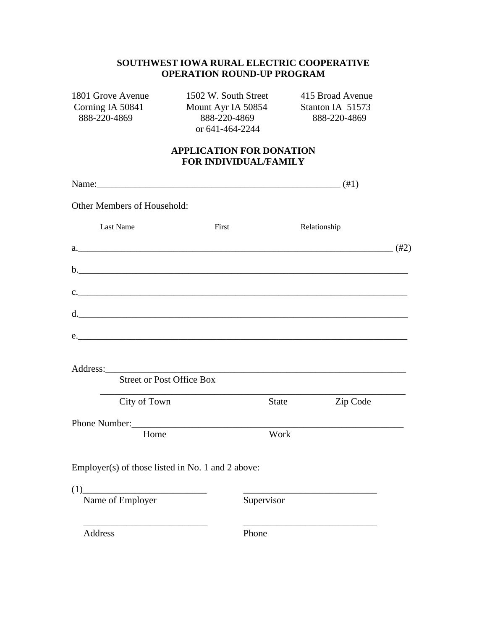## **SOUTHWEST IOWA RURAL ELECTRIC COOPERATIVE OPERATION ROUND-UP PROGRAM**

1801 Grove Avenue 1502 W. South Street 415 Broad Avenue<br>
Corning IA 50841 Mount Ayr IA 50854 Stanton IA 51573

Corning IA 50841 Mount Ayr IA 50854 Stanton IA 51573<br>888-220-4869 888-220-4869 888-220-4869 or 641-464-2244

888-220-4869 888-220-4869 888-220-4869

## **APPLICATION FOR DONATION FOR INDIVIDUAL/FAMILY**

| Name: $(#1)$                                                                                                                                                                                                                |            |       |              |  |
|-----------------------------------------------------------------------------------------------------------------------------------------------------------------------------------------------------------------------------|------------|-------|--------------|--|
| Other Members of Household:                                                                                                                                                                                                 |            |       |              |  |
| <b>Last Name</b>                                                                                                                                                                                                            | First      |       | Relationship |  |
| a. $(#2)$                                                                                                                                                                                                                   |            |       |              |  |
|                                                                                                                                                                                                                             |            |       |              |  |
| c.                                                                                                                                                                                                                          |            |       |              |  |
| d.                                                                                                                                                                                                                          |            |       |              |  |
| e.                                                                                                                                                                                                                          |            |       |              |  |
|                                                                                                                                                                                                                             |            |       |              |  |
| <b>Street or Post Office Box</b>                                                                                                                                                                                            |            |       |              |  |
| City of Town                                                                                                                                                                                                                |            | State | Zip Code     |  |
|                                                                                                                                                                                                                             |            |       |              |  |
| Home                                                                                                                                                                                                                        |            | Work  |              |  |
| Employer(s) of those listed in No. 1 and 2 above:                                                                                                                                                                           |            |       |              |  |
| $(1)$ and $(1)$ and $(1)$ and $(1)$ and $(1)$ and $(1)$ and $(1)$ and $(1)$ and $(1)$ and $(1)$ and $(1)$ and $(1)$ and $(1)$ and $(1)$ and $(1)$ and $(1)$ and $(1)$ and $(1)$ and $(1)$ and $(1)$ and $(1)$ and $(1)$ and |            |       |              |  |
| Name of Employer                                                                                                                                                                                                            | Supervisor |       |              |  |
| <b>Address</b>                                                                                                                                                                                                              | Phone      |       |              |  |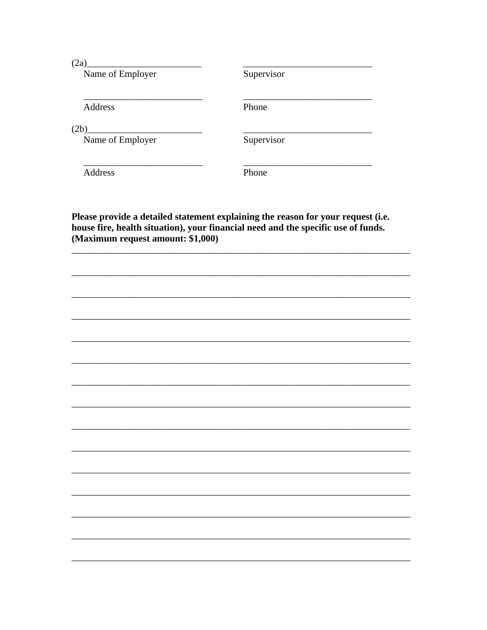$(2a)$ 

Name of Employer

Supervisor

Address

Phone

 $(2b)$ 

Name of Employer

Supervisor

Address

Phone

Please provide a detailed statement explaining the reason for your request (i.e. house fire, health situation), your financial need and the specific use of funds. (Maximum request amount: \$1,000)